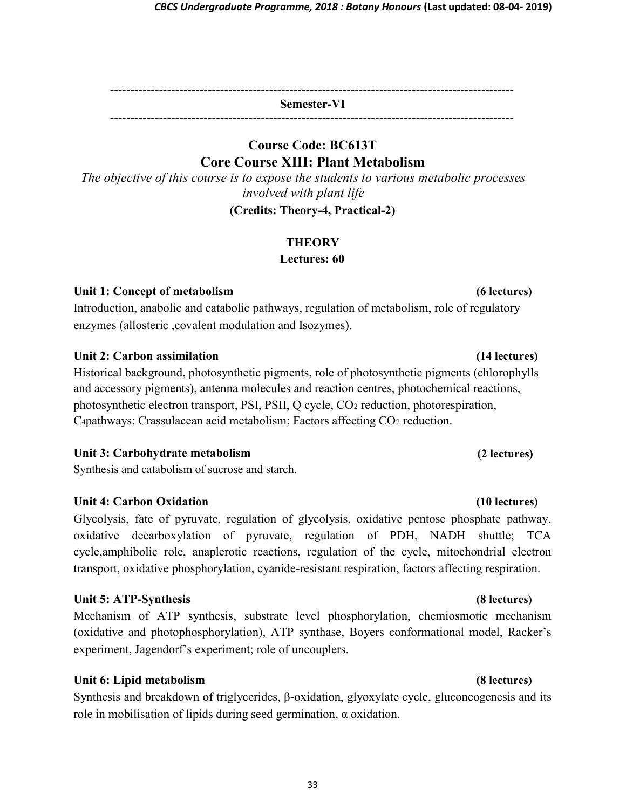---------------------------------------------------------------------------------------------------

Semester-VI ---------------------------------------------------------------------------------------------------

## Course Code: BC613T Core Course XIII: Plant Metabolism

The objective of this course is to expose the students to various metabolic processes involved with plant life

(Credits: Theory-4, Practical-2)

## **THEORY**

Lectures: 60

## Unit 1: Concept of metabolism (6 lectures) (6 lectures)

Introduction, anabolic and catabolic pathways, regulation of metabolism, role of regulatory enzymes (allosteric ,covalent modulation and Isozymes).

## Unit 2: Carbon assimilation (14 lectures)

Historical background, photosynthetic pigments, role of photosynthetic pigments (chlorophylls and accessory pigments), antenna molecules and reaction centres, photochemical reactions, photosynthetic electron transport, PSI, PSII, Q cycle, CO2 reduction, photorespiration, C4pathways; Crassulacean acid metabolism; Factors affecting CO2 reduction.

## Unit 3: Carbohydrate metabolism

Synthesis and catabolism of sucrose and starch.

## Unit 4: Carbon Oxidation (10 lectures)

Glycolysis, fate of pyruvate, regulation of glycolysis, oxidative pentose phosphate pathway, oxidative decarboxylation of pyruvate, regulation of PDH, NADH shuttle; TCA cycle,amphibolic role, anaplerotic reactions, regulation of the cycle, mitochondrial electron transport, oxidative phosphorylation, cyanide-resistant respiration, factors affecting respiration.

## Unit 5: ATP-Synthesis (8 lectures)

Mechanism of ATP synthesis, substrate level phosphorylation, chemiosmotic mechanism (oxidative and photophosphorylation), ATP synthase, Boyers conformational model, Racker's experiment, Jagendorf's experiment; role of uncouplers.

## Unit 6: Lipid metabolism (8 lectures)

Synthesis and breakdown of triglycerides, β-oxidation, glyoxylate cycle, gluconeogenesis and its role in mobilisation of lipids during seed germination, α oxidation.

(2 lectures)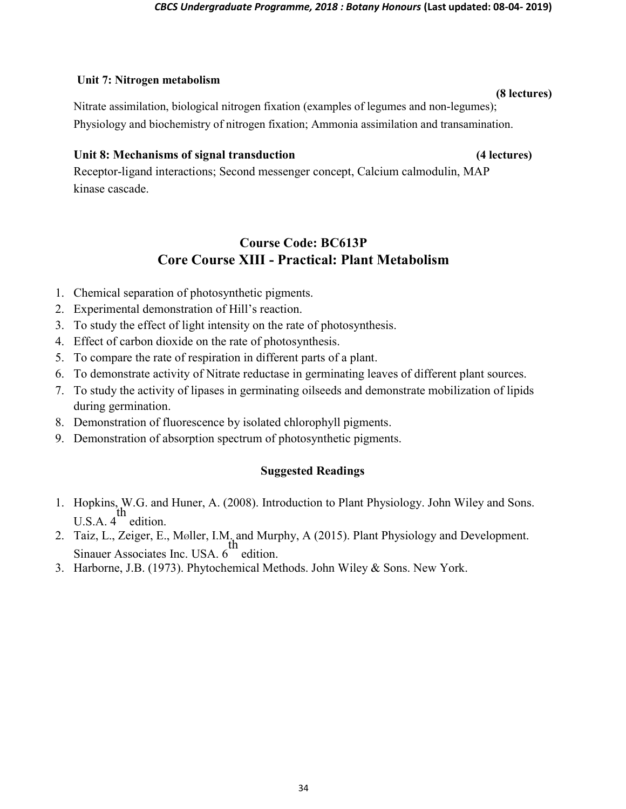### Unit 7: Nitrogen metabolism

(8 lectures) Nitrate assimilation, biological nitrogen fixation (examples of legumes and non-legumes); Physiology and biochemistry of nitrogen fixation; Ammonia assimilation and transamination.

### Unit 8: Mechanisms of signal transduction (4 lectures)

Receptor-ligand interactions; Second messenger concept, Calcium calmodulin, MAP kinase cascade.

## Course Code: BC613P Core Course XIII - Practical: Plant Metabolism

- 1. Chemical separation of photosynthetic pigments.
- 2. Experimental demonstration of Hill's reaction.
- 3. To study the effect of light intensity on the rate of photosynthesis.
- 4. Effect of carbon dioxide on the rate of photosynthesis.
- 5. To compare the rate of respiration in different parts of a plant.
- 6. To demonstrate activity of Nitrate reductase in germinating leaves of different plant sources.
- 7. To study the activity of lipases in germinating oilseeds and demonstrate mobilization of lipids during germination.
- 8. Demonstration of fluorescence by isolated chlorophyll pigments.
- 9. Demonstration of absorption spectrum of photosynthetic pigments.

## Suggested Readings

- 1. Hopkins, W.G. and Huner, A. (2008). Introduction to Plant Physiology. John Wiley and Sons. U.S.A. 4 th edition.
- 2. Taiz, L., Zeiger, E., Møller, I.M. and Murphy, A (2015). Plant Physiology and Development. Sinauer Associates Inc. USA. 6 th edition.
- 3. Harborne, J.B. (1973). Phytochemical Methods. John Wiley & Sons. New York.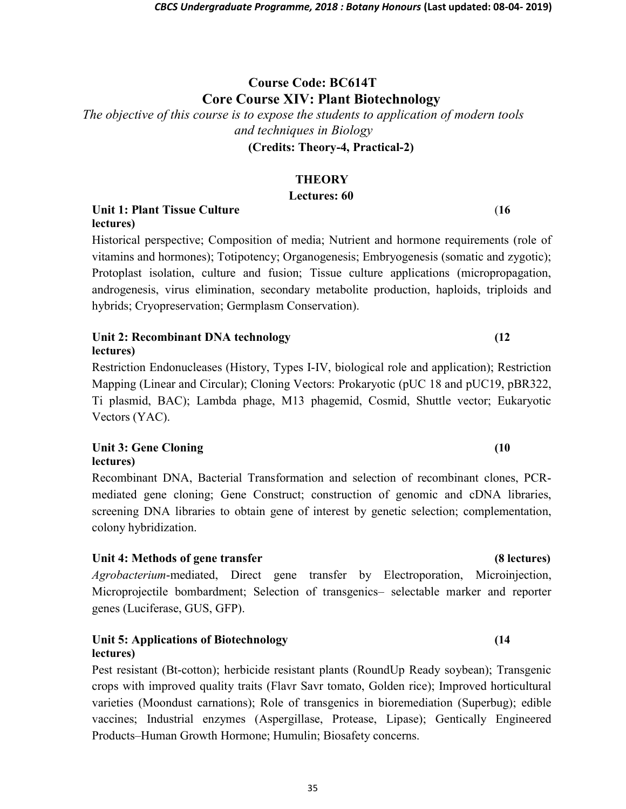# Course Code: BC614T Core Course XIV: Plant Biotechnology

The objective of this course is to expose the students to application of modern tools and techniques in Biology

(Credits: Theory-4, Practical-2)

## **THEORY**

## Lectures: 60

Unit 1: Plant Tissue Culture (16 lectures)

Historical perspective; Composition of media; Nutrient and hormone requirements (role of vitamins and hormones); Totipotency; Organogenesis; Embryogenesis (somatic and zygotic); Protoplast isolation, culture and fusion; Tissue culture applications (micropropagation, androgenesis, virus elimination, secondary metabolite production, haploids, triploids and hybrids; Cryopreservation; Germplasm Conservation).

### Unit 2: Recombinant DNA technology (12) lectures)

Restriction Endonucleases (History, Types I-IV, biological role and application); Restriction Mapping (Linear and Circular); Cloning Vectors: Prokaryotic (pUC 18 and pUC19, pBR322, Ti plasmid, BAC); Lambda phage, M13 phagemid, Cosmid, Shuttle vector; Eukaryotic Vectors (YAC).

### Unit 3: Gene Cloning (10 lectures)

Recombinant DNA, Bacterial Transformation and selection of recombinant clones, PCRmediated gene cloning; Gene Construct; construction of genomic and cDNA libraries, screening DNA libraries to obtain gene of interest by genetic selection; complementation, colony hybridization.

## Unit 4: Methods of gene transfer (8 lectures)

Agrobacterium-mediated, Direct gene transfer by Electroporation, Microinjection, Microprojectile bombardment; Selection of transgenics– selectable marker and reporter genes (Luciferase, GUS, GFP).

### Unit 5: Applications of Biotechnology (14 lectures)

Pest resistant (Bt-cotton); herbicide resistant plants (RoundUp Ready soybean); Transgenic crops with improved quality traits (Flavr Savr tomato, Golden rice); Improved horticultural varieties (Moondust carnations); Role of transgenics in bioremediation (Superbug); edible vaccines; Industrial enzymes (Aspergillase, Protease, Lipase); Gentically Engineered Products–Human Growth Hormone; Humulin; Biosafety concerns.